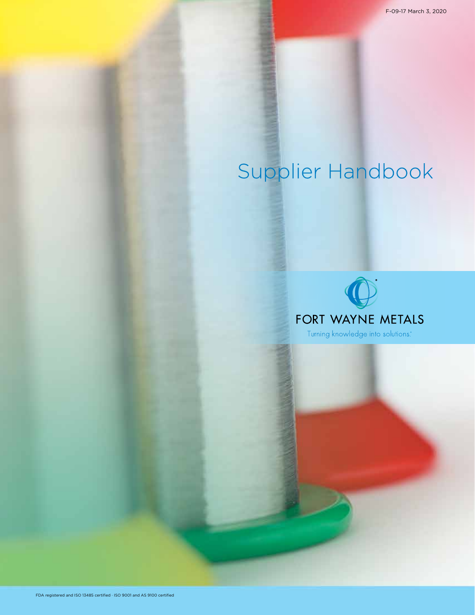# Supplier Handbook

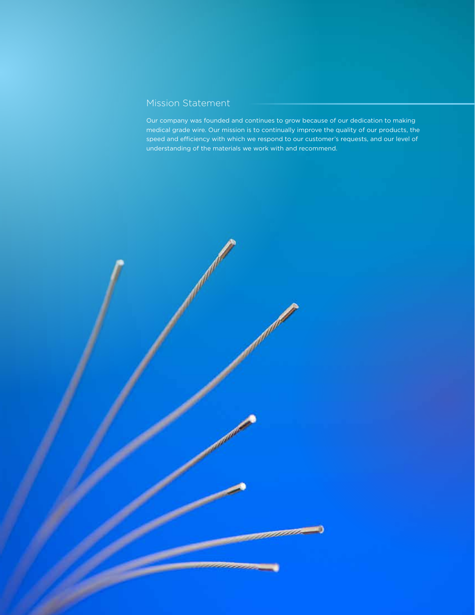# Mission Statement

Our company was founded and continues to grow because of our dedication to making medical grade wire. Our mission is to continually improve the quality of our products, the speed and efficiency with which we respond to our customer's requests, and our level of understanding of the materials we work with and recommend.

a de de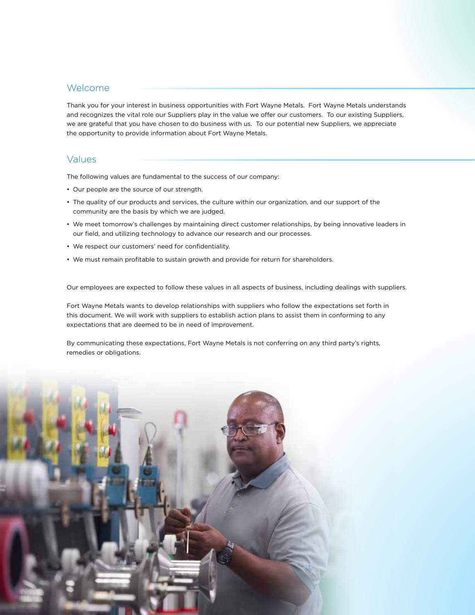## Welcome

Thank you for your interest in business opportunities with Fort Wayne Metals. Fort Wayne Metals understands and recognizes the vital role our Suppliers play in the value we offer our customers. To our existing Suppliers, we are grateful that you have chosen to do business with us. To our potential new Suppliers, we appreciate the opportunity to provide information about Fort Wayne Metals.

## Values

The following values are fundamental to the success of our company:

- Our people are the source of our strength.
- The quality of our products and services, the culture within our organization, and our support of the community are the basis by which we are judged.
- We meet tomorrow's challenges by maintaining direct customer relationships, by being innovative leaders in our field, and utilizing technology to advance our research and our processes.
- We respect our customers' need for confidentiality.
- We must remain profitable to sustain growth and provide for return for shareholders.

Our employees are expected to follow these values in all aspects of business, including dealings with suppliers.

Fort Wayne Metals wants to develop relationships with suppliers who follow the expectations set forth in this document. We will work with suppliers to establish action plans to assist them in conforming to any expectations that are deemed to be in need of improvement.

By communicating these expectations, Fort Wayne Metals is not conferring on any third party's rights, remedies or obligations.

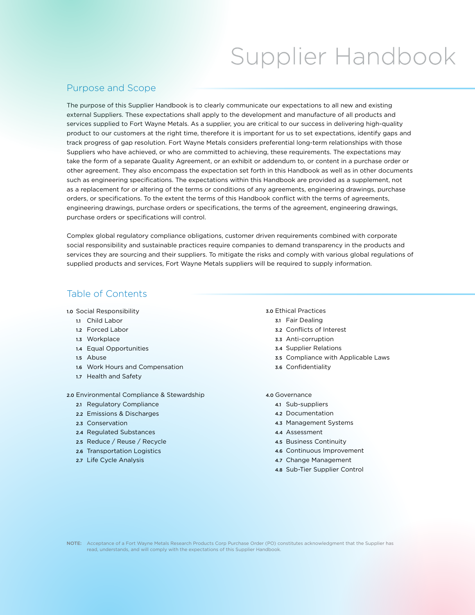# Supplier Handbook

## Purpose and Scope

The purpose of this Supplier Handbook is to clearly communicate our expectations to all new and existing external Suppliers. These expectations shall apply to the development and manufacture of all products and services supplied to Fort Wayne Metals. As a supplier, you are critical to our success in delivering high-quality product to our customers at the right time, therefore it is important for us to set expectations, identify gaps and track progress of gap resolution. Fort Wayne Metals considers preferential long-term relationships with those Suppliers who have achieved, or who are committed to achieving, these requirements. The expectations may take the form of a separate Quality Agreement, or an exhibit or addendum to, or content in a purchase order or other agreement. They also encompass the expectation set forth in this Handbook as well as in other documents such as engineering specifications. The expectations within this Handbook are provided as a supplement, not as a replacement for or altering of the terms or conditions of any agreements, engineering drawings, purchase orders, or specifications. To the extent the terms of this Handbook conflict with the terms of agreements, engineering drawings, purchase orders or specifications, the terms of the agreement, engineering drawings, purchase orders or specifications will control.

Complex global regulatory compliance obligations, customer driven requirements combined with corporate social responsibility and sustainable practices require companies to demand transparency in the products and services they are sourcing and their suppliers. To mitigate the risks and comply with various global regulations of supplied products and services, Fort Wayne Metals suppliers will be required to supply information.

# Table of Contents

1.0 Social Responsibility

- 1.1 Child Labor
- 1.2 Forced Labor
- 1.3 Workplace
- 1.4 Equal Opportunities
- 1.5 Abuse
- 1.6 Work Hours and Compensation
- 1.7 Health and Safety

#### 2.0 Environmental Compliance & Stewardship

- 2.1 Regulatory Compliance
- 2.2 Emissions & Discharges
- 2.3 Conservation
- 2.4 Regulated Substances
- 2.5 Reduce / Reuse / Recycle
- 2.6 Transportation Logistics
- 2.7 Life Cycle Analysis

## 3.0 Ethical Practices

- 3.1 Fair Dealing
- 3.2 Conflicts of Interest
- 3.3 Anti-corruption
- 3.4 Supplier Relations
- 3.5 Compliance with Applicable Laws
- 3.6 Confidentiality
- 4.0 Governance
	- 4.1 Sub-suppliers
	- 4.2 Documentation
	- 4.3 Management Systems
	- 4.4 Assessment
	- 4.5 Business Continuity
	- 4.6 Continuous Improvement
	- 4.7 Change Management
	- 4.8 Sub-Tier Supplier Control

NOTE: Acceptance of a Fort Wayne Metals Research Products Corp Purchase Order (PO) constitutes acknowledgment that the Supplier has read, understands, and will comply with the expectations of this Supplier Handbook.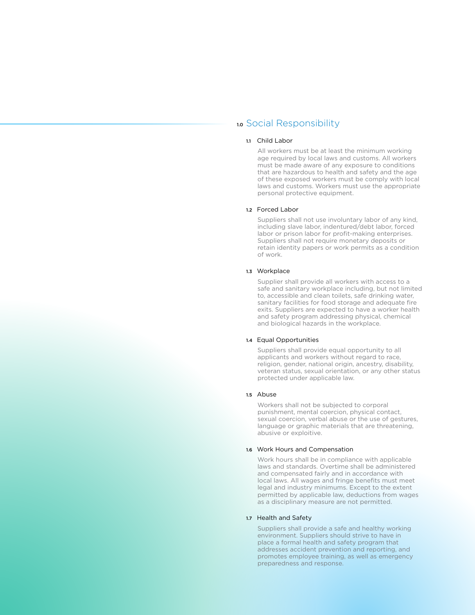## 1.0 Social Responsibility

### 1.1 Child Labor

All workers must be at least the minimum working age required by local laws and customs. All workers must be made aware of any exposure to conditions that are hazardous to health and safety and the age of these exposed workers must be comply with local laws and customs. Workers must use the appropriate personal protective equipment.

#### 1.2 Forced Labor

Suppliers shall not use involuntary labor of any kind, including slave labor, indentured/debt labor, forced labor or prison labor for profit-making enterprises. Suppliers shall not require monetary deposits or retain identity papers or work permits as a condition of work.

#### 1.3 Workplace

Supplier shall provide all workers with access to a safe and sanitary workplace including, but not limited to, accessible and clean toilets, safe drinking water, sanitary facilities for food storage and adequate fire exits. Suppliers are expected to have a worker health and safety program addressing physical, chemical and biological hazards in the workplace.

#### 1.4 Equal Opportunities

Suppliers shall provide equal opportunity to all applicants and workers without regard to race, religion, gender, national origin, ancestry, disability, veteran status, sexual orientation, or any other status protected under applicable law.

#### 1.5 Abuse

Workers shall not be subjected to corporal punishment, mental coercion, physical contact, sexual coercion, verbal abuse or the use of gestures, language or graphic materials that are threatening, abusive or exploitive.

#### 1.6 Work Hours and Compensation

Work hours shall be in compliance with applicable laws and standards. Overtime shall be administered and compensated fairly and in accordance with local laws. All wages and fringe benefits must meet legal and industry minimums. Except to the extent permitted by applicable law, deductions from wages as a disciplinary measure are not permitted.

#### 1.7 Health and Safety

Suppliers shall provide a safe and healthy working environment. Suppliers should strive to have in place a formal health and safety program that addresses accident prevention and reporting, and promotes employee training, as well as emergency preparedness and response.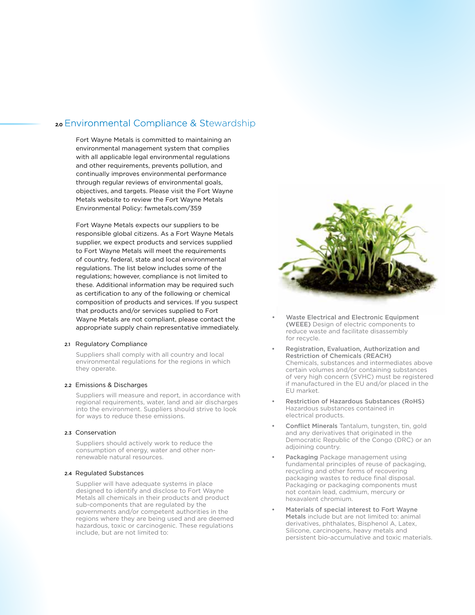## 2.0 Environmental Compliance & Stewardship

Fort Wayne Metals is committed to maintaining an environmental management system that complies with all applicable legal environmental regulations and other requirements, prevents pollution, and continually improves environmental performance through regular reviews of environmental goals, objectives, and targets. Please visit the Fort Wayne Metals website to review the Fort Wayne Metals Environmental Policy: fwmetals.com/359

Fort Wayne Metals expects our suppliers to be responsible global citizens. As a Fort Wayne Metals supplier, we expect products and services supplied to Fort Wayne Metals will meet the requirements of country, federal, state and local environmental regulations. The list below includes some of the regulations; however, compliance is not limited to these. Additional information may be required such as certification to any of the following or chemical composition of products and services. If you suspect that products and/or services supplied to Fort Wayne Metals are not compliant, please contact the appropriate supply chain representative immediately.

#### 2.1 Regulatory Compliance

Suppliers shall comply with all country and local environmental regulations for the regions in which they operate.

#### 2.2 Emissions & Discharges

Suppliers will measure and report, in accordance with regional requirements, water, land and air discharges into the environment. Suppliers should strive to look for ways to reduce these emissions.

#### 2.3 Conservation

Suppliers should actively work to reduce the consumption of energy, water and other nonrenewable natural resources.

#### 2.4 Regulated Substances

Supplier will have adequate systems in place designed to identify and disclose to Fort Wayne Metals all chemicals in their products and product sub-components that are regulated by the governments and/or competent authorities in the regions where they are being used and are deemed hazardous, toxic or carcinogenic. These regulations include, but are not limited to:



- Waste Electrical and Electronic Equipment (WEEE) Design of electric components to reduce waste and facilitate disassembly for recycle.
- Registration, Evaluation, Authorization and Restriction of Chemicals (REACH) Chemicals, substances and intermediates above certain volumes and/or containing substances of very high concern (SVHC) must be registered if manufactured in the EU and/or placed in the EU market.
- Restriction of Hazardous Substances (RoHS) Hazardous substances contained in electrical products.
- Conflict Minerals Tantalum, tungsten, tin, gold and any derivatives that originated in the Democratic Republic of the Congo (DRC) or an adjoining country.
- Packaging Package management using fundamental principles of reuse of packaging, recycling and other forms of recovering packaging wastes to reduce final disposal. Packaging or packaging components must not contain lead, cadmium, mercury or hexavalent chromium.
- Materials of special interest to Fort Wayne Metals include but are not limited to: animal derivatives, phthalates, Bisphenol A, Latex, Silicone, carcinogens, heavy metals and persistent bio-accumulative and toxic materials.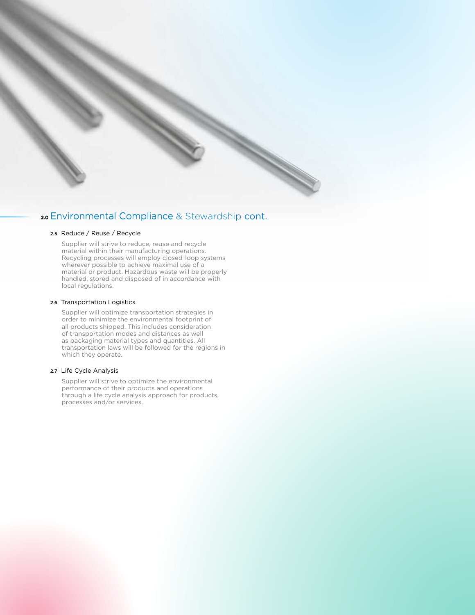## 20 Environmental Compliance & Stewardship cont.

#### 2.5 Reduce / Reuse / Recycle

Supplier will strive to reduce, reuse and recycle material within their manufacturing operations. Recycling processes will employ closed-loop systems wherever possible to achieve maximal use of a material or product. Hazardous waste will be properly handled, stored and disposed of in accordance with local regulations.

#### 2.6 Transportation Logistics

Supplier will optimize transportation strategies in order to minimize the environmental footprint of all products shipped. This includes consideration of transportation modes and distances as well as packaging material types and quantities. All transportation laws will be followed for the regions in which they operate.

#### 2.7 Life Cycle Analysis

Supplier will strive to optimize the environmental performance of their products and operations through a life cycle analysis approach for products, processes and/or services.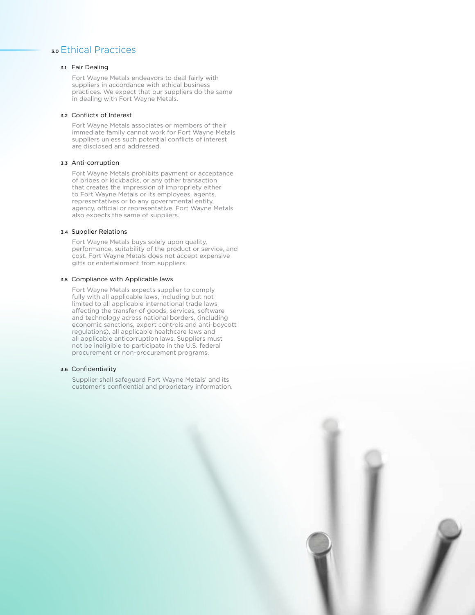## 3.0 Ethical Practices

### 3.1 Fair Dealing

Fort Wayne Metals endeavors to deal fairly with suppliers in accordance with ethical business practices. We expect that our suppliers do the same in dealing with Fort Wayne Metals.

#### 3.2 Conflicts of Interest

Fort Wayne Metals associates or members of their immediate family cannot work for Fort Wayne Metals suppliers unless such potential conflicts of interest are disclosed and addressed.

#### 3.3 Anti-corruption

Fort Wayne Metals prohibits payment or acceptance of bribes or kickbacks, or any other transaction that creates the impression of impropriety either to Fort Wayne Metals or its employees, agents, representatives or to any governmental entity, agency, official or representative. Fort Wayne Metals also expects the same of suppliers.

#### 3.4 Supplier Relations

Fort Wayne Metals buys solely upon quality, performance, suitability of the product or service, and cost. Fort Wayne Metals does not accept expensive gifts or entertainment from suppliers.

#### 3.5 Compliance with Applicable laws

Fort Wayne Metals expects supplier to comply fully with all applicable laws, including but not limited to all applicable international trade laws affecting the transfer of goods, services, software and technology across national borders, (including economic sanctions, export controls and anti-boycott regulations), all applicable healthcare laws and all applicable anticorruption laws. Suppliers must not be ineligible to participate in the U.S. federal procurement or non-procurement programs.

#### 3.6 Confidentiality

Supplier shall safeguard Fort Wayne Metals' and its customer's confidential and proprietary information.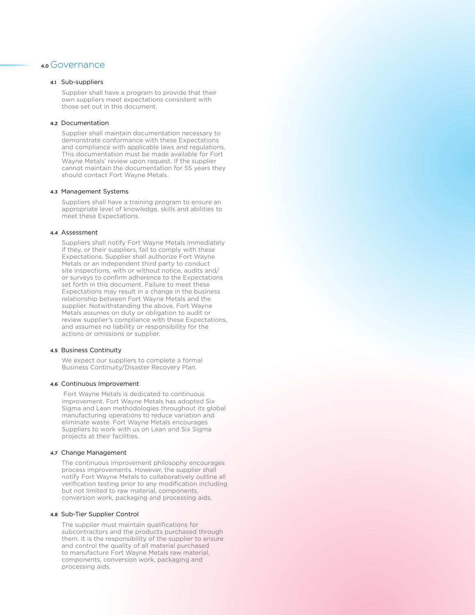## 4.0 Governance

#### 4.1 Sub-suppliers

Supplier shall have a program to provide that their own suppliers meet expectations consistent with those set out in this document.

#### 4.2 Documentation

Supplier shall maintain documentation necessary to demonstrate conformance with these Expectations and compliance with applicable laws and regulations. This documentation must be made available for Fort Wayne Metals' review upon request. If the supplier cannot maintain the documentation for 55 years they should contact Fort Wayne Metals.

#### 4.3 Management Systems

Suppliers shall have a training program to ensure an appropriate level of knowledge, skills and abilities to meet these Expectations.

#### 4.4 Assessment

Suppliers shall notify Fort Wayne Metals immediately if they, or their suppliers, fail to comply with these Expectations. Supplier shall authorize Fort Wayne Metals or an independent third party to conduct site inspections, with or without notice, audits and/ or surveys to confirm adherence to the Expectations set forth in this document. Failure to meet these Expectations may result in a change in the business relationship between Fort Wayne Metals and the supplier. Notwithstanding the above, Fort Wayne Metals assumes on duty or obligation to audit or review supplier's compliance with these Expectations, and assumes no liability or responsibility for the actions or omissions or supplier.

#### 4.5 Business Continuity

We expect our suppliers to complete a formal Business Continuity/Disaster Recovery Plan.

#### 4.6 Continuous Improvement

 Fort Wayne Metals is dedicated to continuous improvement. Fort Wayne Metals has adopted Six Sigma and Lean methodologies throughout its global manufacturing operations to reduce variation and eliminate waste. Fort Wayne Metals encourages Suppliers to work with us on Lean and Six Sigma projects at their facilities.

#### 4.7 Change Management

The continuous improvement philosophy encourages process improvements. However, the supplier shall notify Fort Wayne Metals to collaboratively outline all verification testing prior to any modification including but not limited to raw material, components, conversion work, packaging and processing aids.

#### 4.8 Sub-Tier Supplier Control

The supplier must maintain qualifications for subcontractors and the products purchased through them. It is the responsibility of the supplier to ensure and control the quality of all material purchased to manufacture Fort Wayne Metals raw material, components, conversion work, packaging and processing aids.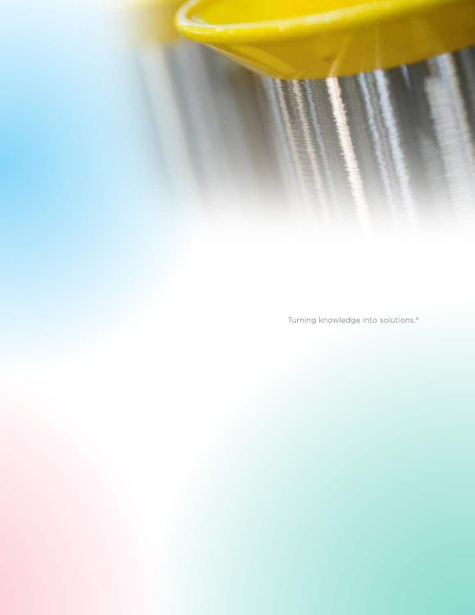Turning knowledge into solutions.<sup>®</sup>